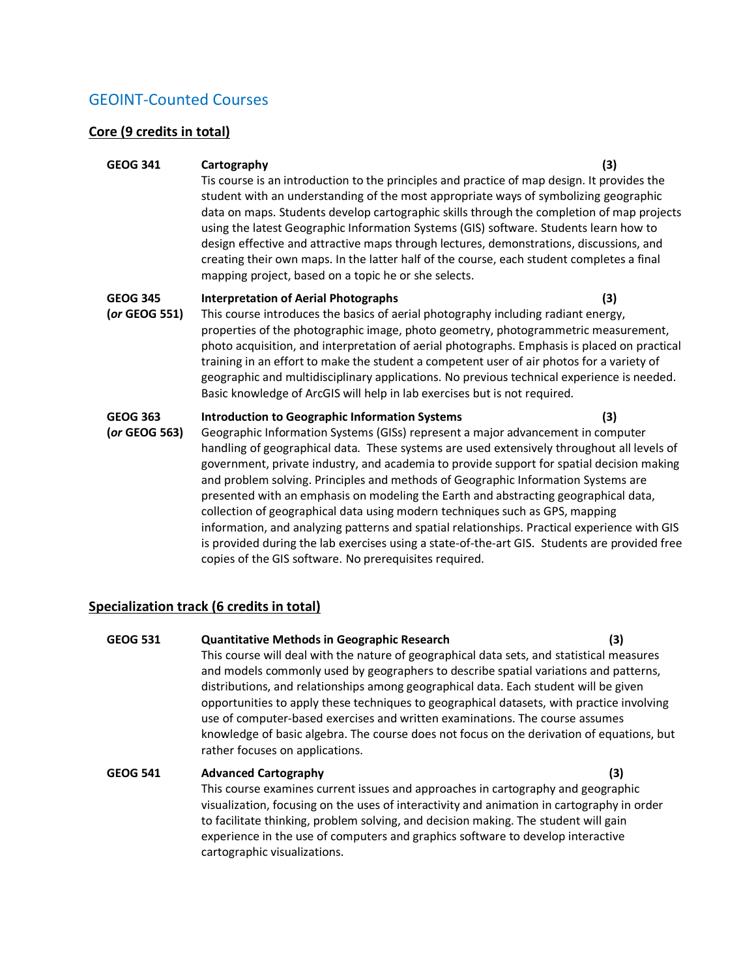# GEOINT-Counted Courses

### **Core (9 credits in total)**

#### **GEOG 341 Cartography (3)**

Tis course is an introduction to the principles and practice of map design. It provides the student with an understanding of the most appropriate ways of symbolizing geographic data on maps. Students develop cartographic skills through the completion of map projects using the latest Geographic Information Systems (GIS) software. Students learn how to design effective and attractive maps through lectures, demonstrations, discussions, and creating their own maps. In the latter half of the course, each student completes a final mapping project, based on a topic he or she selects.

# **GEOG 345 Interpretation of Aerial Photographs (3)**

**(***or* **GEOG 551)** This course introduces the basics of aerial photography including radiant energy, properties of the photographic image, photo geometry, photogrammetric measurement, photo acquisition, and interpretation of aerial photographs. Emphasis is placed on practical training in an effort to make the student a competent user of air photos for a variety of geographic and multidisciplinary applications. No previous technical experience is needed. Basic knowledge of ArcGIS will help in lab exercises but is not required.

# **GEOG 363 Introduction to Geographic Information Systems (3)**

**(***or* **GEOG 563)** Geographic Information Systems (GISs) represent a major advancement in computer handling of geographical data. These systems are used extensively throughout all levels of government, private industry, and academia to provide support for spatial decision making and problem solving. Principles and methods of Geographic Information Systems are presented with an emphasis on modeling the Earth and abstracting geographical data, collection of geographical data using modern techniques such as GPS, mapping information, and analyzing patterns and spatial relationships. Practical experience with GIS is provided during the lab exercises using a state‐of‐the‐art GIS. Students are provided free copies of the GIS software. No prerequisites required.

# **Specialization track (6 credits in total)**

# **GEOG 531 Quantitative Methods in Geographic Research (3)** This course will deal with the nature of geographical data sets, and statistical measures and models commonly used by geographers to describe spatial variations and patterns, distributions, and relationships among geographical data. Each student will be given opportunities to apply these techniques to geographical datasets, with practice involving

use of computer-based exercises and written examinations. The course assumes knowledge of basic algebra. The course does not focus on the derivation of equations, but rather focuses on applications.

# **GEOG 541 Advanced Cartography (3)** This course examines current issues and approaches in cartography and geographic visualization, focusing on the uses of interactivity and animation in cartography in order to facilitate thinking, problem solving, and decision making. The student will gain experience in the use of computers and graphics software to develop interactive cartographic visualizations.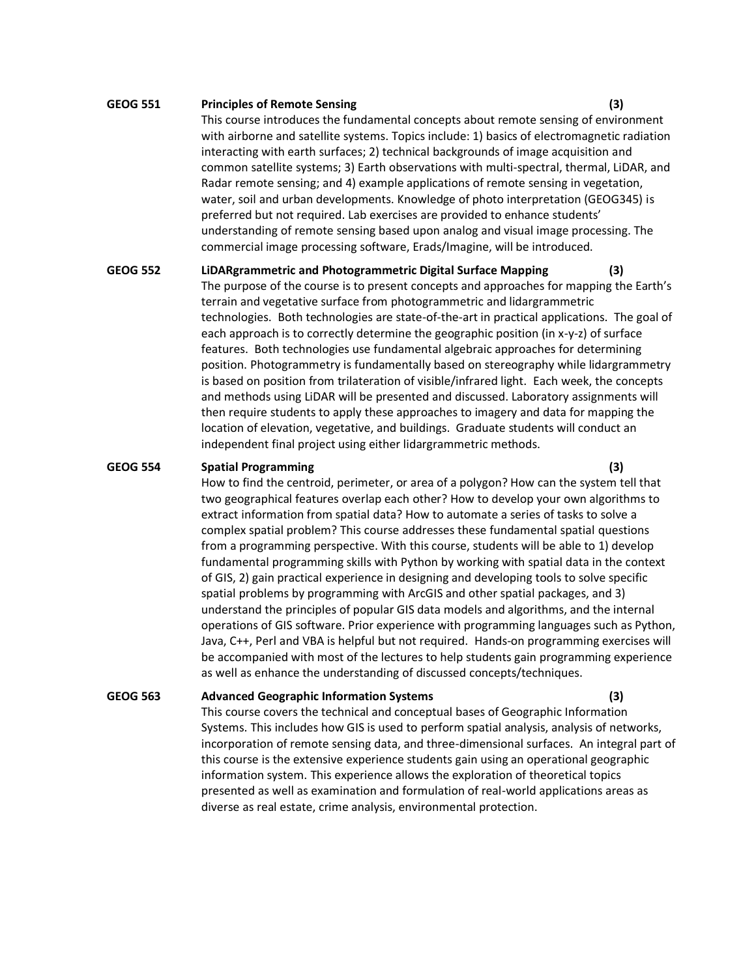#### **GEOG 551 Principles of Remote Sensing (3)**

This course introduces the fundamental concepts about remote sensing of environment with airborne and satellite systems. Topics include: 1) basics of electromagnetic radiation interacting with earth surfaces; 2) technical backgrounds of image acquisition and common satellite systems; 3) Earth observations with multi-spectral, thermal, LiDAR, and Radar remote sensing; and 4) example applications of remote sensing in vegetation, water, soil and urban developments. Knowledge of photo interpretation (GEOG345) is preferred but not required. Lab exercises are provided to enhance students' understanding of remote sensing based upon analog and visual image processing. The commercial image processing software, Erads/Imagine, will be introduced.

**GEOG 552 LiDARgrammetric and Photogrammetric Digital Surface Mapping (3)** The purpose of the course is to present concepts and approaches for mapping the Earth's terrain and vegetative surface from photogrammetric and lidargrammetric technologies. Both technologies are state-of-the-art in practical applications. The goal of each approach is to correctly determine the geographic position (in x-y-z) of surface features. Both technologies use fundamental algebraic approaches for determining position. Photogrammetry is fundamentally based on stereography while lidargrammetry is based on position from trilateration of visible/infrared light. Each week, the concepts and methods using LiDAR will be presented and discussed. Laboratory assignments will then require students to apply these approaches to imagery and data for mapping the location of elevation, vegetative, and buildings. Graduate students will conduct an independent final project using either lidargrammetric methods.

#### **GEOG 554 Spatial Programming (3)**

How to find the centroid, perimeter, or area of a polygon? How can the system tell that two geographical features overlap each other? How to develop your own algorithms to extract information from spatial data? How to automate a series of tasks to solve a complex spatial problem? This course addresses these fundamental spatial questions from a programming perspective. With this course, students will be able to 1) develop fundamental programming skills with Python by working with spatial data in the context of GIS, 2) gain practical experience in designing and developing tools to solve specific spatial problems by programming with ArcGIS and other spatial packages, and 3) understand the principles of popular GIS data models and algorithms, and the internal operations of GIS software. Prior experience with programming languages such as Python, Java, C++, Perl and VBA is helpful but not required. Hands-on programming exercises will be accompanied with most of the lectures to help students gain programming experience as well as enhance the understanding of discussed concepts/techniques.

#### **GEOG 563 Advanced Geographic Information Systems (3)**

This course covers the technical and conceptual bases of Geographic Information Systems. This includes how GIS is used to perform spatial analysis, analysis of networks, incorporation of remote sensing data, and three-dimensional surfaces. An integral part of this course is the extensive experience students gain using an operational geographic information system. This experience allows the exploration of theoretical topics presented as well as examination and formulation of real-world applications areas as diverse as real estate, crime analysis, environmental protection.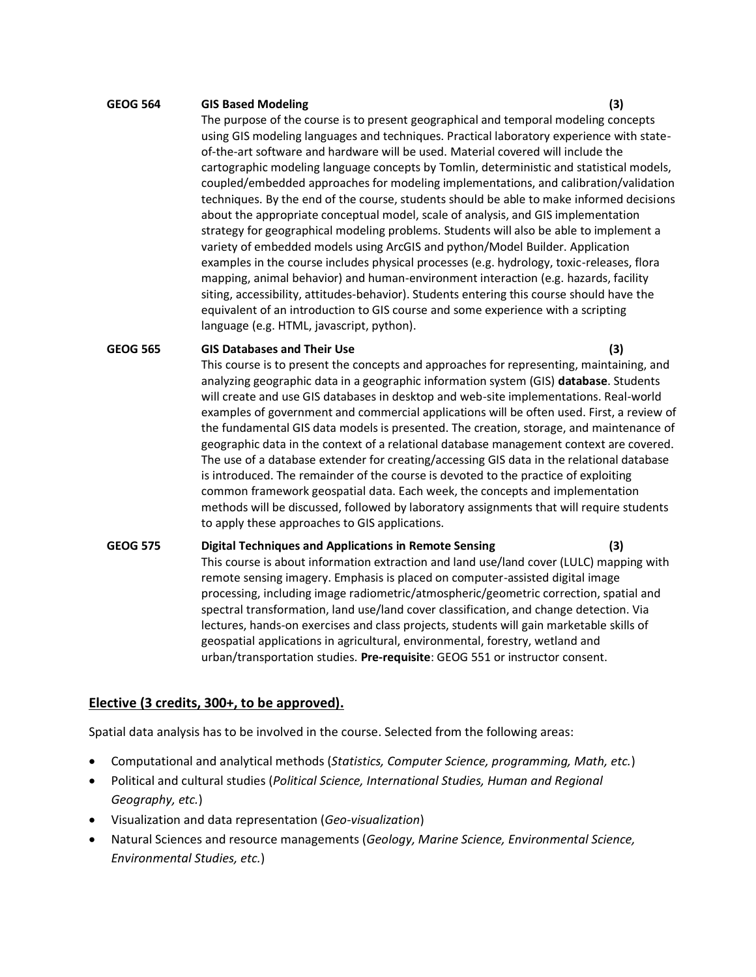#### **GEOG 564 GIS Based Modeling (3)**

The purpose of the course is to present geographical and temporal modeling concepts using GIS modeling languages and techniques. Practical laboratory experience with stateof-the-art software and hardware will be used. Material covered will include the cartographic modeling language concepts by Tomlin, deterministic and statistical models, coupled/embedded approaches for modeling implementations, and calibration/validation techniques. By the end of the course, students should be able to make informed decisions about the appropriate conceptual model, scale of analysis, and GIS implementation strategy for geographical modeling problems. Students will also be able to implement a variety of embedded models using ArcGIS and python/Model Builder. Application examples in the course includes physical processes (e.g. hydrology, toxic-releases, flora mapping, animal behavior) and human-environment interaction (e.g. hazards, facility siting, accessibility, attitudes-behavior). Students entering this course should have the equivalent of an introduction to GIS course and some experience with a scripting language (e.g. HTML, javascript, python).

#### **GEOG 565 GIS Databases and Their Use (3)**

This course is to present the concepts and approaches for representing, maintaining, and analyzing geographic data in a geographic information system (GIS) **database**. Students will create and use GIS databases in desktop and web-site implementations. Real-world examples of government and commercial applications will be often used. First, a review of the fundamental GIS data models is presented. The creation, storage, and maintenance of geographic data in the context of a relational database management context are covered. The use of a database extender for creating/accessing GIS data in the relational database is introduced. The remainder of the course is devoted to the practice of exploiting common framework geospatial data. Each week, the concepts and implementation methods will be discussed, followed by laboratory assignments that will require students to apply these approaches to GIS applications.

# **GEOG 575 Digital Techniques and Applications in Remote Sensing (3)** This course is about information extraction and land use/land cover (LULC) mapping with remote sensing imagery. Emphasis is placed on computer-assisted digital image processing, including image radiometric/atmospheric/geometric correction, spatial and spectral transformation, land use/land cover classification, and change detection. Via lectures, hands-on exercises and class projects, students will gain marketable skills of geospatial applications in agricultural, environmental, forestry, wetland and urban/transportation studies. **Pre-requisite**: GEOG 551 or instructor consent.

# **Elective (3 credits, 300+, to be approved).**

Spatial data analysis has to be involved in the course. Selected from the following areas:

- Computational and analytical methods (*Statistics, Computer Science, programming, Math, etc.*)
- Political and cultural studies (*Political Science, International Studies, Human and Regional Geography, etc.*)
- Visualization and data representation (*Geo-visualization*)
- Natural Sciences and resource managements (*Geology, Marine Science, Environmental Science, Environmental Studies, etc.*)